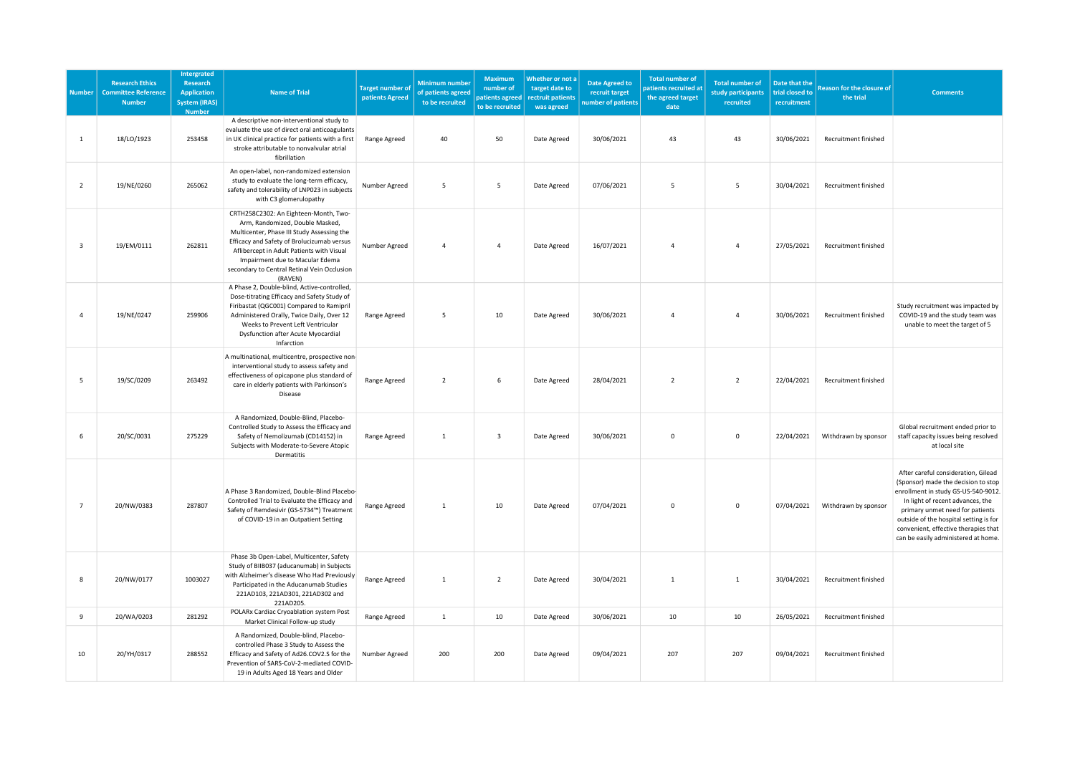| <b>Number</b>           | <b>Research Ethics</b><br><b>Committee Reference</b><br><b>Number</b> | <b>Intergrated</b><br>Research<br><b>Application</b><br><b>System (IRAS)</b><br><b>Number</b> | <b>Name of Trial</b>                                                                                                                                                                                                                                                                                           | <b>Target number of</b><br>patients Agreed | <b>Minimum number</b><br>of patients agreed<br>to be recruited | <b>Maximum</b><br>number of<br>patients agreed<br>to be recruited | Whether or not a<br>target date to<br>rectruit patients<br>was agreed | Date Agreed to<br>recruit target<br>umber of patients | <b>Total number of</b><br>patients recruited at<br>the agreed target<br>date | <b>Total number of</b><br>study participants<br>recruited | Date that the<br>trial closed to<br>recruitment | <b>Reason for the closure of</b><br>the trial | <b>Comments</b>                                                                                                                                                                                                                                                                                                   |
|-------------------------|-----------------------------------------------------------------------|-----------------------------------------------------------------------------------------------|----------------------------------------------------------------------------------------------------------------------------------------------------------------------------------------------------------------------------------------------------------------------------------------------------------------|--------------------------------------------|----------------------------------------------------------------|-------------------------------------------------------------------|-----------------------------------------------------------------------|-------------------------------------------------------|------------------------------------------------------------------------------|-----------------------------------------------------------|-------------------------------------------------|-----------------------------------------------|-------------------------------------------------------------------------------------------------------------------------------------------------------------------------------------------------------------------------------------------------------------------------------------------------------------------|
| 1                       | 18/LO/1923                                                            | 253458                                                                                        | A descriptive non-interventional study to<br>evaluate the use of direct oral anticoagulants<br>in UK clinical practice for patients with a first<br>stroke attributable to nonvalvular atrial<br>fibrillation                                                                                                  | Range Agreed                               | 40                                                             | 50                                                                | Date Agreed                                                           | 30/06/2021                                            | 43                                                                           | 43                                                        | 30/06/2021                                      | Recruitment finished                          |                                                                                                                                                                                                                                                                                                                   |
| $\overline{2}$          | 19/NE/0260                                                            | 265062                                                                                        | An open-label, non-randomized extension<br>study to evaluate the long-term efficacy,<br>safety and tolerability of LNP023 in subjects<br>with C3 glomerulopathy                                                                                                                                                | Number Agreed                              | 5                                                              | 5                                                                 | Date Agreed                                                           | 07/06/2021                                            | 5                                                                            | 5                                                         | 30/04/2021                                      | Recruitment finished                          |                                                                                                                                                                                                                                                                                                                   |
| $\overline{\mathbf{3}}$ | 19/EM/0111                                                            | 262811                                                                                        | CRTH258C2302: An Eighteen-Month, Two-<br>Arm, Randomized, Double Masked,<br>Multicenter, Phase III Study Assessing the<br>Efficacy and Safety of Brolucizumab versus<br>Aflibercept in Adult Patients with Visual<br>Impairment due to Macular Edema<br>secondary to Central Retinal Vein Occlusion<br>(RAVEN) | Number Agreed                              | $\overline{4}$                                                 | $\overline{4}$                                                    | Date Agreed                                                           | 16/07/2021                                            | $\overline{4}$                                                               | $\overline{4}$                                            | 27/05/2021                                      | Recruitment finished                          |                                                                                                                                                                                                                                                                                                                   |
| $\overline{4}$          | 19/NE/0247                                                            | 259906                                                                                        | A Phase 2, Double-blind, Active-controlled,<br>Dose-titrating Efficacy and Safety Study of<br>Firibastat (QGC001) Compared to Ramipril<br>Administered Orally, Twice Daily, Over 12<br>Weeks to Prevent Left Ventricular<br>Dysfunction after Acute Myocardial<br>Infarction                                   | Range Agreed                               | 5                                                              | 10                                                                | Date Agreed                                                           | 30/06/2021                                            | $\overline{4}$                                                               | $\overline{4}$                                            | 30/06/2021                                      | Recruitment finished                          | Study recruitment was impacted by<br>COVID-19 and the study team was<br>unable to meet the target of 5                                                                                                                                                                                                            |
| 5                       | 19/SC/0209                                                            | 263492                                                                                        | A multinational, multicentre, prospective non-<br>interventional study to assess safety and<br>effectiveness of opicapone plus standard of<br>care in elderly patients with Parkinson's<br>Disease                                                                                                             | Range Agreed                               | $\overline{2}$                                                 | 6                                                                 | Date Agreed                                                           | 28/04/2021                                            | $\overline{2}$                                                               | $\overline{2}$                                            | 22/04/2021                                      | Recruitment finished                          |                                                                                                                                                                                                                                                                                                                   |
| 6                       | 20/SC/0031                                                            | 275229                                                                                        | A Randomized, Double-Blind, Placebo-<br>Controlled Study to Assess the Efficacy and<br>Safety of Nemolizumab (CD14152) in<br>Subjects with Moderate-to-Severe Atopic<br>Dermatitis                                                                                                                             | Range Agreed                               | $\mathbf{1}$                                                   | $\overline{\mathbf{3}}$                                           | Date Agreed                                                           | 30/06/2021                                            | $\mathsf 0$                                                                  | $\mathbf{0}$                                              | 22/04/2021                                      | Withdrawn by sponsor                          | Global recruitment ended prior to<br>staff capacity issues being resolved<br>at local site                                                                                                                                                                                                                        |
| $\overline{7}$          | 20/NW/0383                                                            | 287807                                                                                        | A Phase 3 Randomized, Double-Blind Placebo-<br>Controlled Trial to Evaluate the Efficacy and<br>Safety of Remdesivir (GS-5734™) Treatment<br>of COVID-19 in an Outpatient Setting                                                                                                                              | Range Agreed                               | $\mathbf{1}$                                                   | 10                                                                | Date Agreed                                                           | 07/04/2021                                            | $\mathbf 0$                                                                  | $\mathbf 0$                                               | 07/04/2021                                      | Withdrawn by sponsor                          | After careful consideration, Gilead<br>(Sponsor) made the decision to stop<br>enrollment in study GS-US-540-9012.<br>In light of recent advances, the<br>primary unmet need for patients<br>outside of the hospital setting is for<br>convenient, effective therapies that<br>can be easily administered at home. |
| 8                       | 20/NW/0177                                                            | 1003027                                                                                       | Phase 3b Open-Label, Multicenter, Safety<br>Study of BIIB037 (aducanumab) in Subjects<br>with Alzheimer's disease Who Had Previously<br>Participated in the Aducanumab Studies<br>221AD103, 221AD301, 221AD302 and<br>221AD205.                                                                                | Range Agreed                               | $\overline{1}$                                                 | $\overline{2}$                                                    | Date Agreed                                                           | 30/04/2021                                            | $\mathbf{1}$                                                                 | $\overline{1}$                                            | 30/04/2021                                      | Recruitment finished                          |                                                                                                                                                                                                                                                                                                                   |
| 9                       | 20/WA/0203                                                            | 281292                                                                                        | POLARx Cardiac Cryoablation system Post<br>Market Clinical Follow-up study                                                                                                                                                                                                                                     | Range Agreed                               | $\mathbf{1}$                                                   | 10                                                                | Date Agreed                                                           | 30/06/2021                                            | 10                                                                           | 10                                                        | 26/05/2021                                      | Recruitment finished                          |                                                                                                                                                                                                                                                                                                                   |
| 10                      | 20/YH/0317                                                            | 288552                                                                                        | A Randomized, Double-blind, Placebo-<br>controlled Phase 3 Study to Assess the<br>Efficacy and Safety of Ad26.COV2.S for the<br>Prevention of SARS-CoV-2-mediated COVID-<br>19 in Adults Aged 18 Years and Older                                                                                               | Number Agreed                              | 200                                                            | 200                                                               | Date Agreed                                                           | 09/04/2021                                            | 207                                                                          | 207                                                       | 09/04/2021                                      | Recruitment finished                          |                                                                                                                                                                                                                                                                                                                   |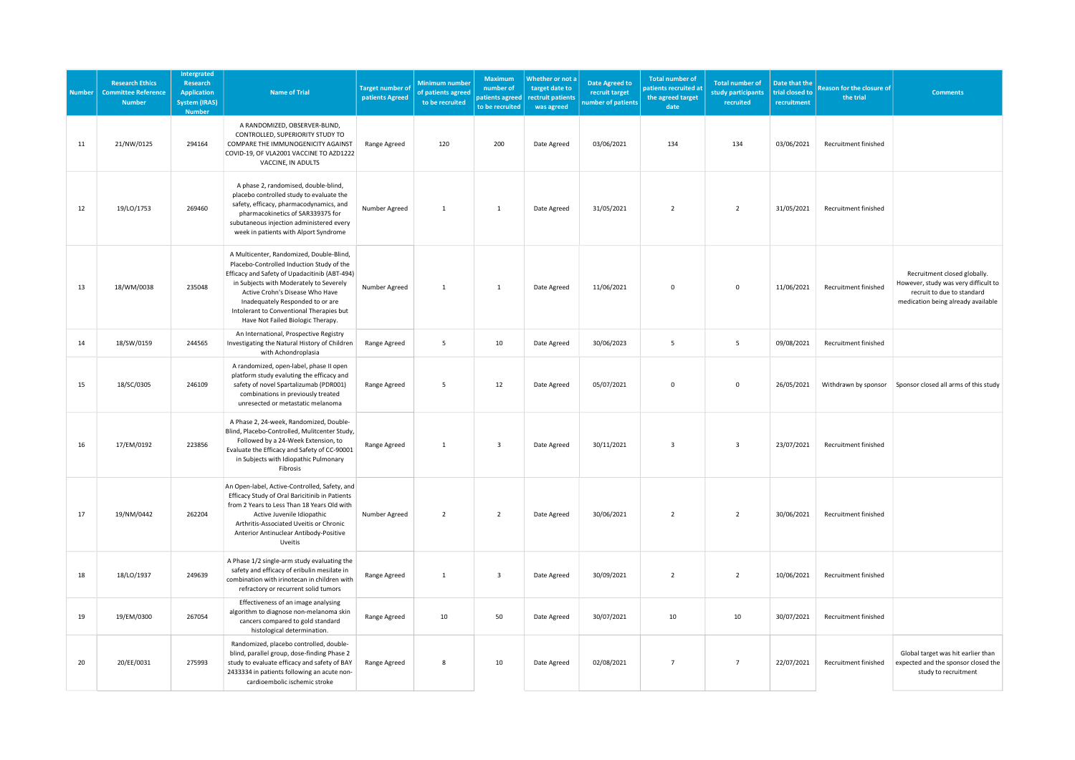| <b>Number</b> | <b>Research Ethics</b><br><b>Committee Reference</b><br><b>Number</b> | Intergrated<br>Research<br><b>Application</b><br><b>System (IRAS)</b><br><b>Number</b> | <b>Name of Trial</b>                                                                                                                                                                                                                                                                                                                      | <b>Target number of</b><br>patients Agreed | <b>Minimum number</b><br>f patients agreed<br>to be recruited | Maximum<br>number of<br>patients agreed<br>to be recruited | Whether or not a<br>target date to<br>rectruit patients<br>was agreed | <b>Date Agreed to</b><br>recruit target<br>number of patients | <b>Total number of</b><br>atients recruited at<br>the agreed target<br>date | <b>Total number of</b><br>study participants<br>recruited | Date that the<br>trial closed to<br>recruitment | <b>Reason for the closure of</b><br>the trial | <b>Comments</b>                                                                                                                          |
|---------------|-----------------------------------------------------------------------|----------------------------------------------------------------------------------------|-------------------------------------------------------------------------------------------------------------------------------------------------------------------------------------------------------------------------------------------------------------------------------------------------------------------------------------------|--------------------------------------------|---------------------------------------------------------------|------------------------------------------------------------|-----------------------------------------------------------------------|---------------------------------------------------------------|-----------------------------------------------------------------------------|-----------------------------------------------------------|-------------------------------------------------|-----------------------------------------------|------------------------------------------------------------------------------------------------------------------------------------------|
| 11            | 21/NW/0125                                                            | 294164                                                                                 | A RANDOMIZED, OBSERVER-BLIND,<br>CONTROLLED, SUPERIORITY STUDY TO<br>COMPARE THE IMMUNOGENICITY AGAINST<br>COVID-19, OF VLA2001 VACCINE TO AZD1222<br>VACCINE, IN ADULTS                                                                                                                                                                  | Range Agreed                               | 120                                                           | 200                                                        | Date Agreed                                                           | 03/06/2021                                                    | 134                                                                         | 134                                                       | 03/06/2021                                      | Recruitment finished                          |                                                                                                                                          |
| 12            | 19/LO/1753                                                            | 269460                                                                                 | A phase 2, randomised, double-blind,<br>placebo controlled study to evaluate the<br>safety, efficacy, pharmacodynamics, and<br>pharmacokinetics of SAR339375 for<br>subutaneous injection administered every<br>week in patients with Alport Syndrome                                                                                     | Number Agreed                              | $\overline{1}$                                                | $\mathbf{1}$                                               | Date Agreed                                                           | 31/05/2021                                                    | $\overline{2}$                                                              | $\overline{2}$                                            | 31/05/2021                                      | Recruitment finished                          |                                                                                                                                          |
| 13            | 18/WM/0038                                                            | 235048                                                                                 | A Multicenter, Randomized, Double-Blind,<br>Placebo-Controlled Induction Study of the<br>Efficacy and Safety of Upadacitinib (ABT-494)<br>in Subjects with Moderately to Severely<br>Active Crohn's Disease Who Have<br>Inadequately Responded to or are<br>Intolerant to Conventional Therapies but<br>Have Not Failed Biologic Therapy. | Number Agreed                              | $\mathbf{1}$                                                  | $\mathbf{1}$                                               | Date Agreed                                                           | 11/06/2021                                                    | $\mathbf 0$                                                                 | $\mathbf 0$                                               | 11/06/2021                                      | Recruitment finished                          | Recruitment closed globally.<br>However, study was very difficult to<br>recruit to due to standard<br>medication being already available |
| 14            | 18/SW/0159                                                            | 244565                                                                                 | An International, Prospective Registry<br>Investigating the Natural History of Children<br>with Achondroplasia                                                                                                                                                                                                                            | Range Agreed                               | 5                                                             | 10                                                         | Date Agreed                                                           | 30/06/2023                                                    | 5                                                                           | 5                                                         | 09/08/2021                                      | Recruitment finished                          |                                                                                                                                          |
| 15            | 18/SC/0305                                                            | 246109                                                                                 | A randomized, open-label, phase II open<br>platform study evaluting the efficacy and<br>safety of novel Spartalizumab (PDR001)<br>combinations in previously treated<br>unresected or metastatic melanoma                                                                                                                                 | Range Agreed                               | 5                                                             | 12                                                         | Date Agreed                                                           | 05/07/2021                                                    | $\Omega$                                                                    | $\Omega$                                                  | 26/05/2021                                      | Withdrawn by sponsor                          | Sponsor closed all arms of this study                                                                                                    |
| 16            | 17/EM/0192                                                            | 223856                                                                                 | A Phase 2, 24-week, Randomized, Double-<br>Blind, Placebo-Controlled, Mulitcenter Study,<br>Followed by a 24-Week Extension, to<br>Evaluate the Efficacy and Safety of CC-90001<br>in Subjects with Idiopathic Pulmonary<br>Fibrosis                                                                                                      | Range Agreed                               | $\mathbf{1}$                                                  | $\overline{3}$                                             | Date Agreed                                                           | 30/11/2021                                                    | $\overline{3}$                                                              | $\overline{\mathbf{3}}$                                   | 23/07/2021                                      | Recruitment finished                          |                                                                                                                                          |
| 17            | 19/NM/0442                                                            | 262204                                                                                 | An Open-label, Active-Controlled, Safety, and<br>Efficacy Study of Oral Baricitinib in Patients<br>from 2 Years to Less Than 18 Years Old with<br>Active Juvenile Idiopathic<br>Arthritis-Associated Uveitis or Chronic<br>Anterior Antinuclear Antibody-Positive<br>Uveitis                                                              | Number Agreed                              | $\overline{2}$                                                | $\overline{2}$                                             | Date Agreed                                                           | 30/06/2021                                                    | $\overline{2}$                                                              | $\overline{2}$                                            | 30/06/2021                                      | Recruitment finished                          |                                                                                                                                          |
| 18            | 18/LO/1937                                                            | 249639                                                                                 | A Phase 1/2 single-arm study evaluating the<br>safety and efficacy of eribulin mesilate in<br>combination with irinotecan in children with<br>refractory or recurrent solid tumors                                                                                                                                                        | Range Agreed                               | $\mathbf{1}$                                                  | $\overline{\mathbf{3}}$                                    | Date Agreed                                                           | 30/09/2021                                                    | $\overline{2}$                                                              | $\overline{2}$                                            | 10/06/2021                                      | Recruitment finished                          |                                                                                                                                          |
| 19            | 19/EM/0300                                                            | 267054                                                                                 | Effectiveness of an image analysing<br>algorithm to diagnose non-melanoma skin<br>cancers compared to gold standard<br>histological determination.                                                                                                                                                                                        | Range Agreed                               | 10                                                            | 50                                                         | Date Agreed                                                           | 30/07/2021                                                    | 10                                                                          | 10                                                        | 30/07/2021                                      | Recruitment finished                          |                                                                                                                                          |
| 20            | 20/EE/0031                                                            | 275993                                                                                 | Randomized, placebo controlled, double-<br>blind, parallel group, dose-finding Phase 2<br>study to evaluate efficacy and safety of BAY<br>2433334 in patients following an acute non-<br>cardioembolic ischemic stroke                                                                                                                    | Range Agreed                               | 8                                                             | 10                                                         | Date Agreed                                                           | 02/08/2021                                                    | $\overline{7}$                                                              | $\overline{7}$                                            | 22/07/2021                                      | Recruitment finished                          | Global target was hit earlier than<br>expected and the sponsor closed the<br>study to recruitment                                        |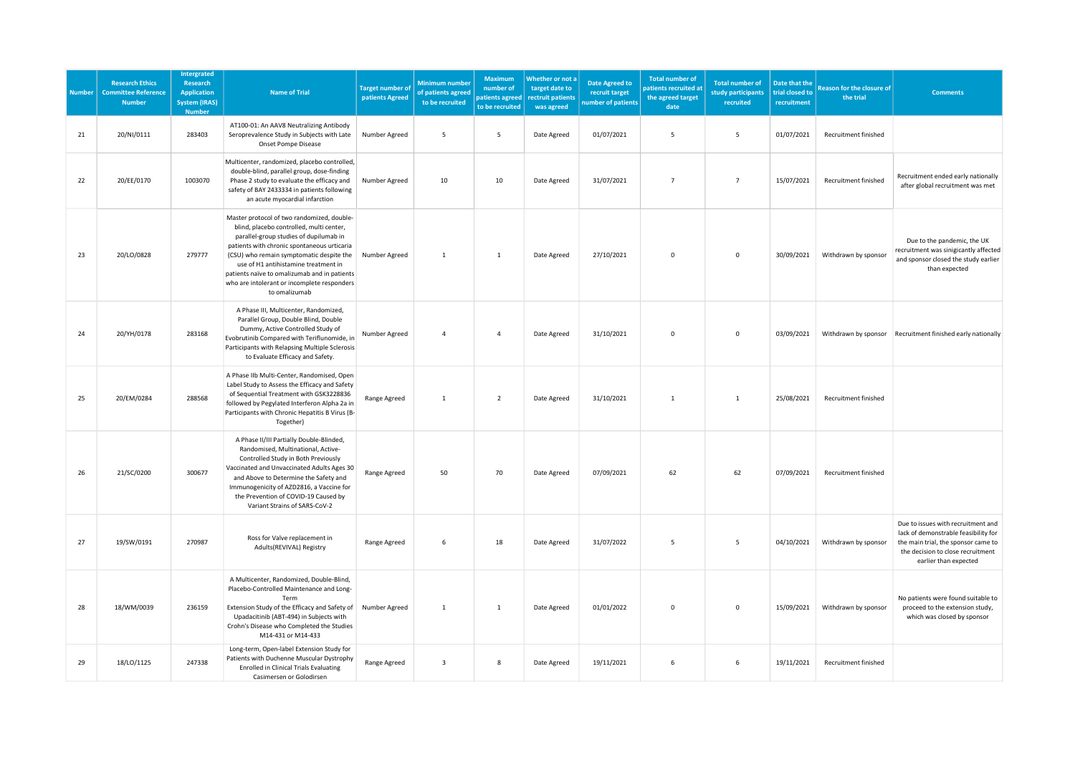| <b>Number</b> | <b>Research Ethics</b><br><b>Committee Reference</b><br><b>Number</b> | Intergrated<br>Research<br><b>Application</b><br><b>System (IRAS)</b><br><b>Number</b> | <b>Name of Trial</b>                                                                                                                                                                                                                                                                                                                                                                | <b>Target number of</b><br>patients Agreed | <b>Minimum number</b><br>of patients agreed<br>to be recruited | <b>Maximum</b><br>number of<br>patients agreed<br>to be recruited | Whether or not a<br>target date to<br>rectruit patients<br>was agreed | <b>Date Agreed to</b><br>recruit target<br>number of patients | <b>Total number of</b><br>atients recruited at<br>the agreed target<br>date | <b>Total number of</b><br>study participants<br>recruited | Date that the<br>trial closed to<br>recruitment | <b>Reason for the closure of</b><br>the trial | <b>Comments</b>                                                                                                                                                                 |
|---------------|-----------------------------------------------------------------------|----------------------------------------------------------------------------------------|-------------------------------------------------------------------------------------------------------------------------------------------------------------------------------------------------------------------------------------------------------------------------------------------------------------------------------------------------------------------------------------|--------------------------------------------|----------------------------------------------------------------|-------------------------------------------------------------------|-----------------------------------------------------------------------|---------------------------------------------------------------|-----------------------------------------------------------------------------|-----------------------------------------------------------|-------------------------------------------------|-----------------------------------------------|---------------------------------------------------------------------------------------------------------------------------------------------------------------------------------|
| 21            | 20/NI/0111                                                            | 283403                                                                                 | AT100-01: An AAV8 Neutralizing Antibody<br>Seroprevalence Study in Subjects with Late<br>Onset Pompe Disease                                                                                                                                                                                                                                                                        | Number Agreed                              | 5                                                              | 5                                                                 | Date Agreed                                                           | 01/07/2021                                                    | 5                                                                           | 5                                                         | 01/07/2021                                      | Recruitment finished                          |                                                                                                                                                                                 |
| 22            | 20/EE/0170                                                            | 1003070                                                                                | Multicenter, randomized, placebo controlled,<br>double-blind, parallel group, dose-finding<br>Phase 2 study to evaluate the efficacy and<br>safety of BAY 2433334 in patients following<br>an acute myocardial infarction                                                                                                                                                           | Number Agreed                              | 10                                                             | 10                                                                | Date Agreed                                                           | 31/07/2021                                                    | $\overline{7}$                                                              | $\overline{7}$                                            | 15/07/2021                                      | Recruitment finished                          | Recruitment ended early nationally<br>after global recruitment was met                                                                                                          |
| 23            | 20/LO/0828                                                            | 279777                                                                                 | Master protocol of two randomized, double-<br>blind, placebo controlled, multi center,<br>parallel-group studies of dupilumab in<br>patients with chronic spontaneous urticaria<br>(CSU) who remain symptomatic despite the<br>use of H1 antihistamine treatment in<br>patients naïve to omalizumab and in patients<br>who are intolerant or incomplete responders<br>to omalizumab | Number Agreed                              | $\mathbf{1}$                                                   | $\mathbf{1}$                                                      | Date Agreed                                                           | 27/10/2021                                                    | $\mathbf 0$                                                                 | $\mathbf 0$                                               | 30/09/2021                                      | Withdrawn by sponsor                          | Due to the pandemic, the UK<br>recruitment was sinigicantly affected<br>and sponsor closed the study earlier<br>than expected                                                   |
| 24            | 20/YH/0178                                                            | 283168                                                                                 | A Phase III, Multicenter, Randomized,<br>Parallel Group, Double Blind, Double<br>Dummy, Active Controlled Study of<br>Evobrutinib Compared with Teriflunomide, in<br>Participants with Relapsing Multiple Sclerosis<br>to Evaluate Efficacy and Safety.                                                                                                                             | Number Agreed                              | $\overline{4}$                                                 | $\overline{4}$                                                    | Date Agreed                                                           | 31/10/2021                                                    | $\mathbf 0$                                                                 | $\mathbf 0$                                               | 03/09/2021                                      |                                               | Withdrawn by sponsor Recruitment finished early nationally                                                                                                                      |
| 25            | 20/EM/0284                                                            | 288568                                                                                 | A Phase IIb Multi-Center, Randomised, Open<br>Label Study to Assess the Efficacy and Safety<br>of Sequential Treatment with GSK3228836<br>followed by Pegylated Interferon Alpha 2a in<br>Participants with Chronic Hepatitis B Virus (B-<br>Together)                                                                                                                              | Range Agreed                               | $\mathbf{1}$                                                   | $\overline{2}$                                                    | Date Agreed                                                           | 31/10/2021                                                    | $\mathbf{1}$                                                                | <sup>1</sup>                                              | 25/08/2021                                      | Recruitment finished                          |                                                                                                                                                                                 |
| 26            | 21/SC/0200                                                            | 300677                                                                                 | A Phase II/III Partially Double-Blinded,<br>Randomised, Multinational, Active-<br>Controlled Study in Both Previously<br>Vaccinated and Unvaccinated Adults Ages 30<br>and Above to Determine the Safety and<br>Immunogenicity of AZD2816, a Vaccine for<br>the Prevention of COVID-19 Caused by<br>Variant Strains of SARS-CoV-2                                                   | Range Agreed                               | 50                                                             | 70                                                                | Date Agreed                                                           | 07/09/2021                                                    | 62                                                                          | 62                                                        | 07/09/2021                                      | Recruitment finished                          |                                                                                                                                                                                 |
| 27            | 19/SW/0191                                                            | 270987                                                                                 | Ross for Valve replacement in<br>Adults(REVIVAL) Registry                                                                                                                                                                                                                                                                                                                           | Range Agreed                               | 6                                                              | 18                                                                | Date Agreed                                                           | 31/07/2022                                                    | 5                                                                           | 5                                                         | 04/10/2021                                      | Withdrawn by sponsor                          | Due to issues with recruitment and<br>lack of demonstrable feasibility for<br>the main trial, the sponsor came to<br>the decision to close recruitment<br>earlier than expected |
| 28            | 18/WM/0039                                                            | 236159                                                                                 | A Multicenter, Randomized, Double-Blind,<br>Placebo-Controlled Maintenance and Long-<br>Term<br>Extension Study of the Efficacy and Safety of<br>Upadacitinib (ABT-494) in Subjects with<br>Crohn's Disease who Completed the Studies<br>M14-431 or M14-433                                                                                                                         | Number Agreed                              | $\mathbf{1}$                                                   | $\mathbf{1}$                                                      | Date Agreed                                                           | 01/01/2022                                                    | 0                                                                           | $\mathsf{o}$                                              | 15/09/2021                                      | Withdrawn by sponsor                          | No patients were found suitable to<br>proceed to the extension study,<br>which was closed by sponsor                                                                            |
| 29            | 18/LO/1125                                                            | 247338                                                                                 | Long-term, Open-label Extension Study for<br>Patients with Duchenne Muscular Dystrophy<br><b>Enrolled in Clinical Trials Evaluating</b><br>Casimersen or Golodirsen                                                                                                                                                                                                                 | Range Agreed                               | $\overline{3}$                                                 | 8                                                                 | Date Agreed                                                           | 19/11/2021                                                    | 6                                                                           | 6                                                         | 19/11/2021                                      | Recruitment finished                          |                                                                                                                                                                                 |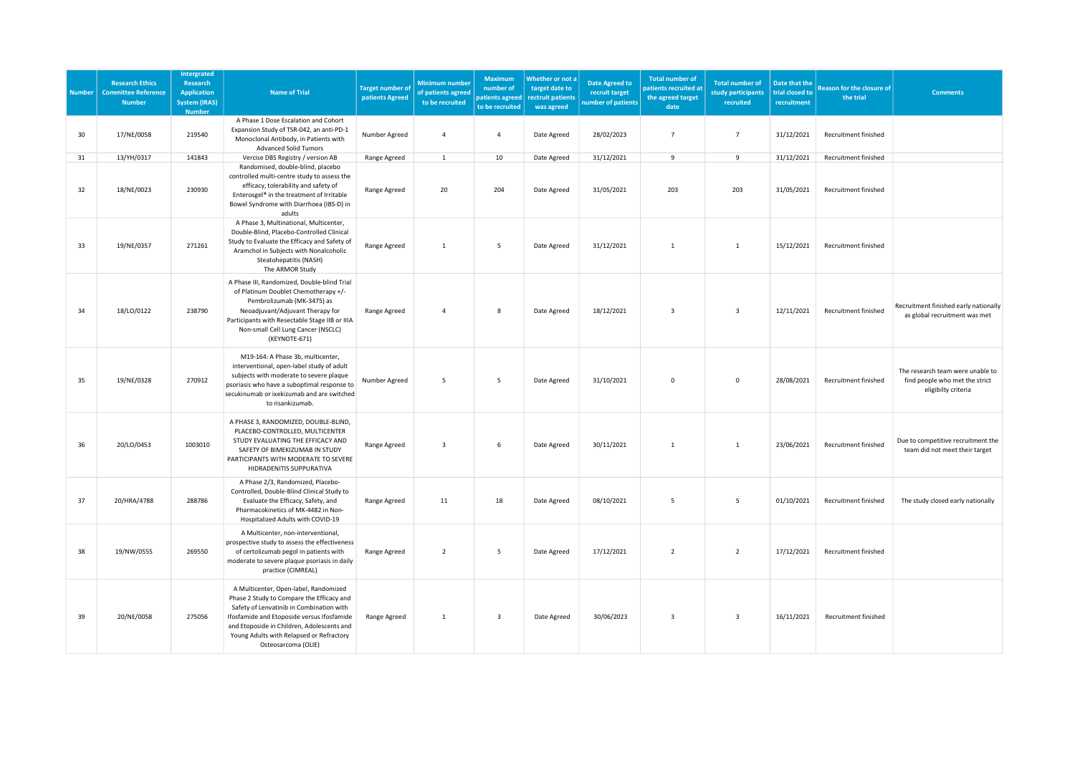| <b>Number</b> | <b>Research Ethics</b><br><b>Committee Reference</b><br><b>Number</b> | <b>Intergrated</b><br><b>Research</b><br><b>Application</b><br><b>System (IRAS)</b><br><b>Number</b> | <b>Name of Trial</b>                                                                                                                                                                                                                                                                          | <b>Target number of</b><br>patients Agreed | <b>Minimum number</b><br>of patients agreed<br>to be recruited | <b>Maximum</b><br>number of<br>to be recruited | Whether or not a<br>target date to<br>patients agreed rectruit patients<br>was agreed | <b>Date Agreed to</b><br>recruit target<br>umber of patients | <b>Total number of</b><br>patients recruited at<br>the agreed target<br>date | <b>Total number of</b><br>study participants<br>recruited | Date that the<br>trial closed to<br>recruitment | <b>Reason for the closure of</b><br>the trial | <b>Comments</b>                                                                           |
|---------------|-----------------------------------------------------------------------|------------------------------------------------------------------------------------------------------|-----------------------------------------------------------------------------------------------------------------------------------------------------------------------------------------------------------------------------------------------------------------------------------------------|--------------------------------------------|----------------------------------------------------------------|------------------------------------------------|---------------------------------------------------------------------------------------|--------------------------------------------------------------|------------------------------------------------------------------------------|-----------------------------------------------------------|-------------------------------------------------|-----------------------------------------------|-------------------------------------------------------------------------------------------|
| 30            | 17/NE/0058                                                            | 219540                                                                                               | A Phase 1 Dose Escalation and Cohort<br>Expansion Study of TSR-042, an anti-PD-1<br>Monoclonal Antibody, in Patients with<br><b>Advanced Solid Tumors</b>                                                                                                                                     | Number Agreed                              | $\overline{4}$                                                 | $\overline{4}$                                 | Date Agreed                                                                           | 28/02/2023                                                   | $\overline{7}$                                                               | $\overline{7}$                                            | 31/12/2021                                      | Recruitment finished                          |                                                                                           |
| 31            | 13/YH/0317                                                            | 141843                                                                                               | Vercise DBS Registry / version AB                                                                                                                                                                                                                                                             | Range Agreed                               | $\mathbf 1$                                                    | 10 <sup>10</sup>                               | Date Agreed                                                                           | 31/12/2021                                                   | 9                                                                            | 9                                                         | 31/12/2021                                      | Recruitment finished                          |                                                                                           |
| 32            | 18/NE/0023                                                            | 230930                                                                                               | Randomised, double-blind, placebo<br>controlled multi-centre study to assess the<br>efficacy, tolerability and safety of<br>Enterosgel® in the treatment of Irritable<br>Bowel Syndrome with Diarrhoea (IBS-D) in<br>adults                                                                   | Range Agreed                               | 20                                                             | 204                                            | Date Agreed                                                                           | 31/05/2021                                                   | 203                                                                          | 203                                                       | 31/05/2021                                      | Recruitment finished                          |                                                                                           |
| 33            | 19/NE/0357                                                            | 271261                                                                                               | A Phase 3, Multinational, Multicenter,<br>Double-Blind, Placebo-Controlled Clinical<br>Study to Evaluate the Efficacy and Safety of<br>Aramchol in Subjects with Nonalcoholic<br>Steatohepatitis (NASH)<br>The ARMOR Study                                                                    | Range Agreed                               | $\mathbf{1}$                                                   | 5                                              | Date Agreed                                                                           | 31/12/2021                                                   | $\mathbf{1}$                                                                 | 1                                                         | 15/12/2021                                      | Recruitment finished                          |                                                                                           |
| 34            | 18/LO/0122                                                            | 238790                                                                                               | A Phase III, Randomized, Double-blind Trial<br>of Platinum Doublet Chemotherapy +/-<br>Pembrolizumab (MK-3475) as<br>Neoadjuvant/Adjuvant Therapy for<br>Participants with Resectable Stage IIB or IIIA<br>Non-small Cell Lung Cancer (NSCLC)<br>(KEYNOTE-671)                                | Range Agreed                               | 4                                                              | 8                                              | Date Agreed                                                                           | 18/12/2021                                                   | 3                                                                            | $\overline{\mathbf{3}}$                                   | 12/11/2021                                      | Recruitment finished                          | Recruitment finished early nationally<br>as global recruitment was met                    |
| 35            | 19/NE/0328                                                            | 270912                                                                                               | M19-164: A Phase 3b, multicenter,<br>interventional, open-label study of adult<br>subjects with moderate to severe plaque<br>psoriasis who have a suboptimal response to<br>secukinumab or ixekizumab and are switched<br>to risankizumab.                                                    | Number Agreed                              | 5                                                              | 5                                              | Date Agreed                                                                           | 31/10/2021                                                   | $\mathsf 0$                                                                  | $\mathbf{0}$                                              | 28/08/2021                                      | Recruitment finished                          | The research team were unable to<br>find people who met the strict<br>eligibilty criteria |
| 36            | 20/LO/0453                                                            | 1003010                                                                                              | A PHASE 3, RANDOMIZED, DOUBLE-BLIND,<br>PLACEBO-CONTROLLED, MULTICENTER<br>STUDY EVALUATING THE EFFICACY AND<br>SAFETY OF BIMEKIZUMAB IN STUDY<br>PARTICIPANTS WITH MODERATE TO SEVERE<br>HIDRADENITIS SUPPURATIVA                                                                            | Range Agreed                               | $\overline{\mathbf{3}}$                                        | 6                                              | Date Agreed                                                                           | 30/11/2021                                                   | $\mathbf{1}$                                                                 | $\mathbf{1}$                                              | 23/06/2021                                      | Recruitment finished                          | Due to competitive recruitment the<br>team did not meet their target                      |
| 37            | 20/HRA/4788                                                           | 288786                                                                                               | A Phase 2/3, Randomized, Placebo-<br>Controlled, Double-Blind Clinical Study to<br>Evaluate the Efficacy, Safety, and<br>Pharmacokinetics of MK-4482 in Non-<br>Hospitalized Adults with COVID-19                                                                                             | Range Agreed                               | 11                                                             | 18                                             | Date Agreed                                                                           | 08/10/2021                                                   | $5^{\circ}$                                                                  | 5                                                         | 01/10/2021                                      | Recruitment finished                          | The study closed early nationally                                                         |
| 38            | 19/NW/0555                                                            | 269550                                                                                               | A Multicenter, non-interventional,<br>prospective study to assess the effectiveness<br>of certolizumab pegol in patients with<br>moderate to severe plaque psoriasis in daily<br>practice (CIMREAL)                                                                                           | Range Agreed                               | $\overline{z}$                                                 | 5                                              | Date Agreed                                                                           | 17/12/2021                                                   | $\overline{2}$                                                               | $\overline{2}$                                            | 17/12/2021                                      | Recruitment finished                          |                                                                                           |
| 39            | 20/NE/0058                                                            | 275056                                                                                               | A Multicenter, Open-label, Randomized<br>Phase 2 Study to Compare the Efficacy and<br>Safety of Lenvatinib in Combination with<br>Ifosfamide and Etoposide versus Ifosfamide<br>and Etoposide in Children, Adolescents and<br>Young Adults with Relapsed or Refractory<br>Osteosarcoma (OLIE) | Range Agreed                               | 1                                                              | $\overline{\mathbf{3}}$                        | Date Agreed                                                                           | 30/06/2023                                                   | 3                                                                            | $\overline{\mathbf{3}}$                                   | 16/11/2021                                      | Recruitment finished                          |                                                                                           |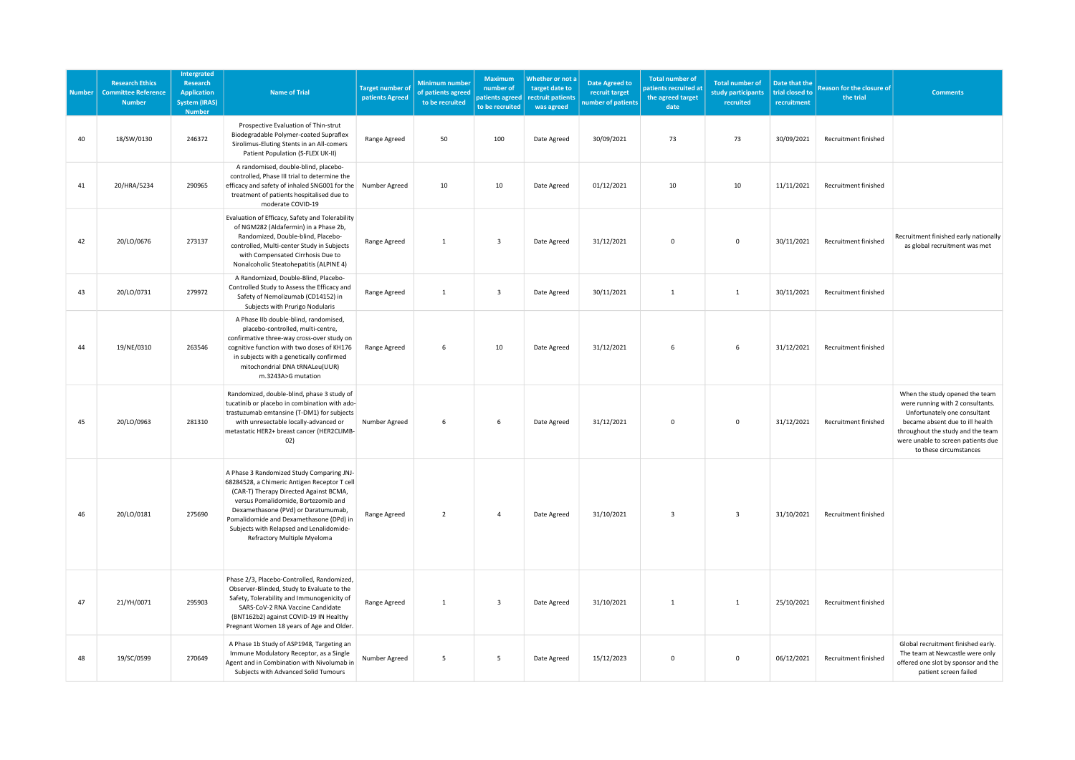| <b>Number</b> | <b>Research Ethics</b><br><b>Committee Reference</b><br><b>Number</b> | Intergrated<br>Research<br><b>Application</b><br><b>System (IRAS)</b><br><b>Number</b> | <b>Name of Trial</b>                                                                                                                                                                                                                                                                                                                    | <b>Target number of</b><br>patients Agreed | Minimum number<br>of patients agreed<br>to be recruited | Maximum<br>number of<br>patients agreed<br>to be recruited | Whether or not a<br>target date to<br>rectruit patients<br>was agreed | <b>Date Agreed to</b><br>recruit target<br>number of patients | <b>Total number of</b><br>patients recruited at<br>the agreed target<br>date | <b>Total number of</b><br>study participants<br>recruited | Date that the<br>trial closed to<br>recruitment | <b>Reason for the closure of</b><br>the trial | <b>Comments</b>                                                                                                                                                                                                                            |
|---------------|-----------------------------------------------------------------------|----------------------------------------------------------------------------------------|-----------------------------------------------------------------------------------------------------------------------------------------------------------------------------------------------------------------------------------------------------------------------------------------------------------------------------------------|--------------------------------------------|---------------------------------------------------------|------------------------------------------------------------|-----------------------------------------------------------------------|---------------------------------------------------------------|------------------------------------------------------------------------------|-----------------------------------------------------------|-------------------------------------------------|-----------------------------------------------|--------------------------------------------------------------------------------------------------------------------------------------------------------------------------------------------------------------------------------------------|
| 40            | 18/SW/0130                                                            | 246372                                                                                 | Prospective Evaluation of Thin-strut<br>Biodegradable Polymer-coated Supraflex<br>Sirolimus-Eluting Stents in an All-comers<br>Patient Population (S-FLEX UK-II)                                                                                                                                                                        | Range Agreed                               | 50                                                      | 100                                                        | Date Agreed                                                           | 30/09/2021                                                    | 73                                                                           | 73                                                        | 30/09/2021                                      | Recruitment finished                          |                                                                                                                                                                                                                                            |
| 41            | 20/HRA/5234                                                           | 290965                                                                                 | A randomised, double-blind, placebo-<br>controlled, Phase III trial to determine the<br>efficacy and safety of inhaled SNG001 for the<br>treatment of patients hospitalised due to<br>moderate COVID-19                                                                                                                                 | Number Agreed                              | 10                                                      | 10                                                         | Date Agreed                                                           | 01/12/2021                                                    | 10                                                                           | 10                                                        | 11/11/2021                                      | Recruitment finished                          |                                                                                                                                                                                                                                            |
| 42            | 20/LO/0676                                                            | 273137                                                                                 | Evaluation of Efficacy, Safety and Tolerability<br>of NGM282 (Aldafermin) in a Phase 2b,<br>Randomized, Double-blind, Placebo-<br>controlled, Multi-center Study in Subjects<br>with Compensated Cirrhosis Due to<br>Nonalcoholic Steatohepatitis (ALPINE 4)                                                                            | Range Agreed                               | $\mathbf{1}$                                            | $\overline{\mathbf{3}}$                                    | Date Agreed                                                           | 31/12/2021                                                    | $\mathbf 0$                                                                  | $\mathsf 0$                                               | 30/11/2021                                      | Recruitment finished                          | Recruitment finished early nationally<br>as global recruitment was met                                                                                                                                                                     |
| 43            | 20/LO/0731                                                            | 279972                                                                                 | A Randomized, Double-Blind, Placebo-<br>Controlled Study to Assess the Efficacy and<br>Safety of Nemolizumab (CD14152) in<br>Subjects with Prurigo Nodularis                                                                                                                                                                            | Range Agreed                               | $\mathbf{1}$                                            | $\overline{\mathbf{3}}$                                    | Date Agreed                                                           | 30/11/2021                                                    | $\mathbf{1}$                                                                 | $\mathbf{1}$                                              | 30/11/2021                                      | Recruitment finished                          |                                                                                                                                                                                                                                            |
| 44            | 19/NE/0310                                                            | 263546                                                                                 | A Phase IIb double-blind, randomised,<br>placebo-controlled, multi-centre,<br>confirmative three-way cross-over study on<br>cognitive function with two doses of KH176<br>in subjects with a genetically confirmed<br>mitochondrial DNA tRNALeu(UUR)<br>m.3243A>G mutation                                                              | Range Agreed                               | 6                                                       | 10                                                         | Date Agreed                                                           | 31/12/2021                                                    | 6                                                                            | 6                                                         | 31/12/2021                                      | Recruitment finished                          |                                                                                                                                                                                                                                            |
| 45            | 20/LO/0963                                                            | 281310                                                                                 | Randomized, double-blind, phase 3 study of<br>tucatinib or placebo in combination with ado-<br>trastuzumab emtansine (T-DM1) for subjects<br>with unresectable locally-advanced or<br>metastatic HER2+ breast cancer (HER2CLIMB-<br>02)                                                                                                 | Number Agreed                              | 6                                                       | 6                                                          | Date Agreed                                                           | 31/12/2021                                                    | $\Omega$                                                                     | $\mathbf 0$                                               | 31/12/2021                                      | Recruitment finished                          | When the study opened the team<br>were running with 2 consultants.<br>Unfortunately one consultant<br>became absent due to ill health<br>throughout the study and the team<br>were unable to screen patients due<br>to these circumstances |
| 46            | 20/LO/0181                                                            | 275690                                                                                 | A Phase 3 Randomized Study Comparing JNJ-<br>68284528, a Chimeric Antigen Receptor T cell<br>(CAR-T) Therapy Directed Against BCMA,<br>versus Pomalidomide, Bortezomib and<br>Dexamethasone (PVd) or Daratumumab,<br>Pomalidomide and Dexamethasone (DPd) in<br>Subjects with Relapsed and Lenalidomide-<br>Refractory Multiple Myeloma | Range Agreed                               | $\overline{2}$                                          | $\overline{4}$                                             | Date Agreed                                                           | 31/10/2021                                                    | 3                                                                            | $\overline{\mathbf{3}}$                                   | 31/10/2021                                      | Recruitment finished                          |                                                                                                                                                                                                                                            |
| 47            | 21/YH/0071                                                            | 295903                                                                                 | Phase 2/3, Placebo-Controlled, Randomized,<br>Observer-Blinded, Study to Evaluate to the<br>Safety, Tolerability and Immunogenicity of<br>SARS-CoV-2 RNA Vaccine Candidate<br>(BNT162b2) against COVID-19 IN Healthy<br>Pregnant Women 18 years of Age and Older.                                                                       | Range Agreed                               | $\mathbf{1}$                                            | $\overline{\mathbf{3}}$                                    | Date Agreed                                                           | 31/10/2021                                                    | $\mathbf{1}$                                                                 | 1                                                         | 25/10/2021                                      | Recruitment finished                          |                                                                                                                                                                                                                                            |
| 48            | 19/SC/0599                                                            | 270649                                                                                 | A Phase 1b Study of ASP1948, Targeting an<br>Immune Modulatory Receptor, as a Single<br>Agent and in Combination with Nivolumab in<br>Subjects with Advanced Solid Tumours                                                                                                                                                              | Number Agreed                              | 5                                                       | 5                                                          | Date Agreed                                                           | 15/12/2023                                                    | $\mathbf 0$                                                                  | $\mathsf 0$                                               | 06/12/2021                                      | Recruitment finished                          | Global recruitment finished early.<br>The team at Newcastle were only<br>offered one slot by sponsor and the<br>patient screen failed                                                                                                      |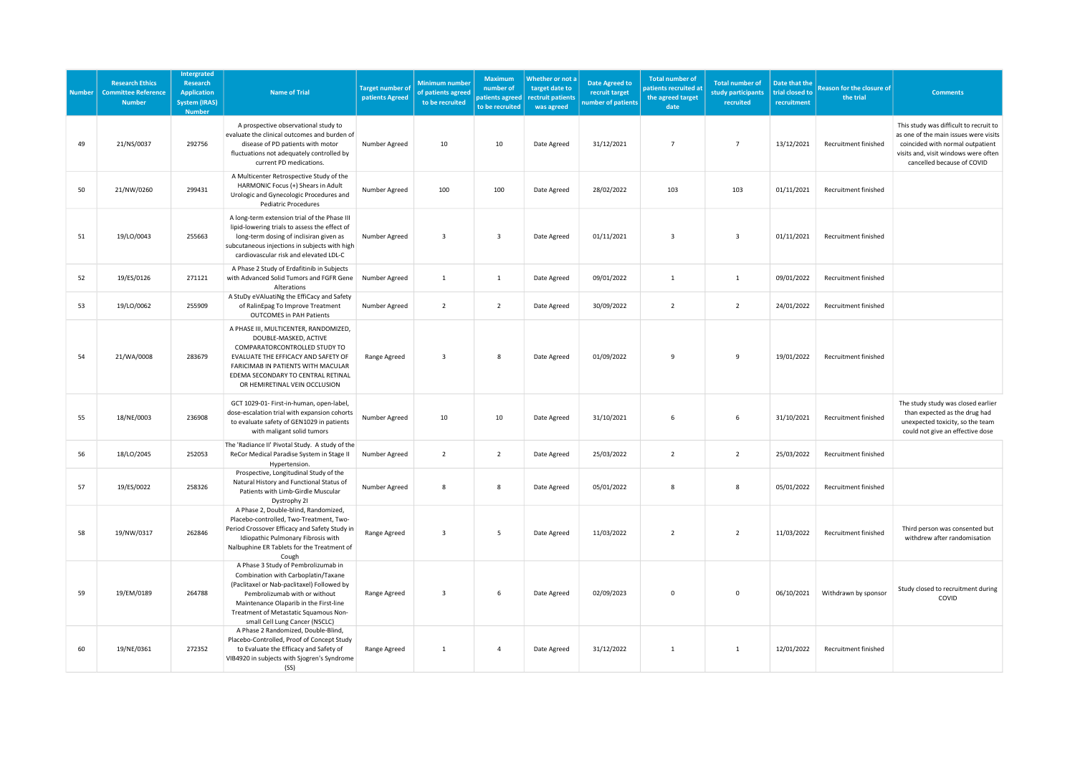| <b>Number</b> | <b>Research Ethics</b><br><b>Committee Reference</b><br><b>Number</b> | Intergrated<br>Research<br><b>Application</b><br><b>System (IRAS)</b><br><b>Number</b> | <b>Name of Trial</b>                                                                                                                                                                                                                                                           | <b>Target number of</b><br>patients Agreed | <b>Minimum number</b><br>of patients agreed<br>to be recruited | Maximum<br>number of<br>patients agreed<br>to be recruited | Whether or not a<br>target date to<br>rectruit patients<br>was agreed | <b>Date Agreed to</b><br>recruit target<br>number of patients | <b>Total number of</b><br>patients recruited at<br>the agreed target<br>date | <b>Total number of</b><br>study participants<br>recruited | Date that the<br>trial closed to<br>recruitment | <b>Reason for the closure of</b><br>the trial | <b>Comments</b>                                                                                                                                                                           |
|---------------|-----------------------------------------------------------------------|----------------------------------------------------------------------------------------|--------------------------------------------------------------------------------------------------------------------------------------------------------------------------------------------------------------------------------------------------------------------------------|--------------------------------------------|----------------------------------------------------------------|------------------------------------------------------------|-----------------------------------------------------------------------|---------------------------------------------------------------|------------------------------------------------------------------------------|-----------------------------------------------------------|-------------------------------------------------|-----------------------------------------------|-------------------------------------------------------------------------------------------------------------------------------------------------------------------------------------------|
| 49            | 21/NS/0037                                                            | 292756                                                                                 | A prospective observational study to<br>evaluate the clinical outcomes and burden of<br>disease of PD patients with motor<br>fluctuations not adequately controlled by<br>current PD medications.                                                                              | Number Agreed                              | 10                                                             | 10                                                         | Date Agreed                                                           | 31/12/2021                                                    | $\overline{7}$                                                               | $\overline{7}$                                            | 13/12/2021                                      | Recruitment finished                          | This study was difficult to recruit to<br>as one of the main issues were visits<br>coincided with normal outpatient<br>visits and, visit windows were often<br>cancelled because of COVID |
| 50            | 21/NW/0260                                                            | 299431                                                                                 | A Multicenter Retrospective Study of the<br>HARMONIC Focus (+) Shears in Adult<br>Urologic and Gynecologic Procedures and<br><b>Pediatric Procedures</b>                                                                                                                       | Number Agreed                              | 100                                                            | 100                                                        | Date Agreed                                                           | 28/02/2022                                                    | 103                                                                          | 103                                                       | 01/11/2021                                      | <b>Recruitment finished</b>                   |                                                                                                                                                                                           |
| 51            | 19/LO/0043                                                            | 255663                                                                                 | A long-term extension trial of the Phase III<br>lipid-lowering trials to assess the effect of<br>long-term dosing of inclisiran given as<br>subcutaneous injections in subjects with high<br>cardiovascular risk and elevated LDL-C                                            | Number Agreed                              | $\overline{3}$                                                 | $\overline{\mathbf{3}}$                                    | Date Agreed                                                           | 01/11/2021                                                    | $\overline{\mathbf{3}}$                                                      | $\overline{\mathbf{3}}$                                   | 01/11/2021                                      | Recruitment finished                          |                                                                                                                                                                                           |
| 52            | 19/ES/0126                                                            | 271121                                                                                 | A Phase 2 Study of Erdafitinib in Subjects<br>with Advanced Solid Tumors and FGFR Gene<br>Alterations                                                                                                                                                                          | Number Agreed                              | $\mathbf{1}$                                                   | $\,$ 1                                                     | Date Agreed                                                           | 09/01/2022                                                    | $\mathbf{1}$                                                                 | 1                                                         | 09/01/2022                                      | Recruitment finished                          |                                                                                                                                                                                           |
| 53            | 19/LO/0062                                                            | 255909                                                                                 | A StuDy eVAluatiNg the EffiCacy and Safety<br>of RalinEpag To Improve Treatment<br><b>OUTCOMES in PAH Patients</b>                                                                                                                                                             | Number Agreed                              | $\overline{2}$                                                 | $\overline{2}$                                             | Date Agreed                                                           | 30/09/2022                                                    | $\overline{2}$                                                               | $\overline{2}$                                            | 24/01/2022                                      | Recruitment finished                          |                                                                                                                                                                                           |
| 54            | 21/WA/0008                                                            | 283679                                                                                 | A PHASE III, MULTICENTER, RANDOMIZED,<br>DOUBLE-MASKED, ACTIVE<br>COMPARATORCONTROLLED STUDY TO<br>EVALUATE THE EFFICACY AND SAFETY OF<br>FARICIMAB IN PATIENTS WITH MACULAR<br>EDEMA SECONDARY TO CENTRAL RETINAL<br>OR HEMIRETINAL VEIN OCCLUSION                            | Range Agreed                               | $\overline{3}$                                                 | 8                                                          | Date Agreed                                                           | 01/09/2022                                                    | 9                                                                            | $\overline{9}$                                            | 19/01/2022                                      | Recruitment finished                          |                                                                                                                                                                                           |
| 55            | 18/NE/0003                                                            | 236908                                                                                 | GCT 1029-01- First-in-human, open-label,<br>dose-escalation trial with expansion cohorts<br>to evaluate safety of GEN1029 in patients<br>with maligant solid tumors                                                                                                            | Number Agreed                              | 10                                                             | 10                                                         | Date Agreed                                                           | 31/10/2021                                                    | 6                                                                            | 6                                                         | 31/10/2021                                      | Recruitment finished                          | The study study was closed earlier<br>than expected as the drug had<br>unexpected toxicity, so the team<br>could not give an effective dose                                               |
| 56            | 18/LO/2045                                                            | 252053                                                                                 | The 'Radiance II' Pivotal Study. A study of the<br>ReCor Medical Paradise System in Stage II<br>Hypertension.                                                                                                                                                                  | Number Agreed                              | $\overline{2}$                                                 | $\overline{2}$                                             | Date Agreed                                                           | 25/03/2022                                                    | $\overline{2}$                                                               | $\overline{2}$                                            | 25/03/2022                                      | Recruitment finished                          |                                                                                                                                                                                           |
| 57            | 19/ES/0022                                                            | 258326                                                                                 | Prospective, Longitudinal Study of the<br>Natural History and Functional Status of<br>Patients with Limb-Girdle Muscular<br>Dystrophy 21                                                                                                                                       | Number Agreed                              | 8                                                              | 8                                                          | Date Agreed                                                           | 05/01/2022                                                    | 8                                                                            | $\mathbf{g}$                                              | 05/01/2022                                      | Recruitment finished                          |                                                                                                                                                                                           |
| 58            | 19/NW/0317                                                            | 262846                                                                                 | A Phase 2, Double-blind, Randomized,<br>Placebo-controlled, Two-Treatment, Two-<br>Period Crossover Efficacy and Safety Study in<br>Idiopathic Pulmonary Fibrosis with<br>Nalbuphine ER Tablets for the Treatment of<br>Cough                                                  | Range Agreed                               | $\overline{\mathbf{3}}$                                        | 5                                                          | Date Agreed                                                           | 11/03/2022                                                    | $\overline{2}$                                                               | $\overline{2}$                                            | 11/03/2022                                      | Recruitment finished                          | Third person was consented but<br>withdrew after randomisation                                                                                                                            |
| 59            | 19/EM/0189                                                            | 264788                                                                                 | A Phase 3 Study of Pembrolizumab in<br>Combination with Carboplatin/Taxane<br>(Paclitaxel or Nab-paclitaxel) Followed by<br>Pembrolizumab with or without<br>Maintenance Olaparib in the First-line<br>Treatment of Metastatic Squamous Non-<br>small Cell Lung Cancer (NSCLC) | Range Agreed                               | $\overline{3}$                                                 | 6                                                          | Date Agreed                                                           | 02/09/2023                                                    | $\mathsf 0$                                                                  | $\mathsf 0$                                               | 06/10/2021                                      | Withdrawn by sponsor                          | Study closed to recruitment during<br>COVID                                                                                                                                               |
| 60            | 19/NE/0361                                                            | 272352                                                                                 | A Phase 2 Randomized, Double-Blind,<br>Placebo-Controlled, Proof of Concept Study<br>to Evaluate the Efficacy and Safety of<br>VIB4920 in subjects with Sjogren's Syndrome<br>(SS)                                                                                             | Range Agreed                               | 1                                                              | $\overline{4}$                                             | Date Agreed                                                           | 31/12/2022                                                    | $\mathbf{1}$                                                                 | 1                                                         | 12/01/2022                                      | Recruitment finished                          |                                                                                                                                                                                           |